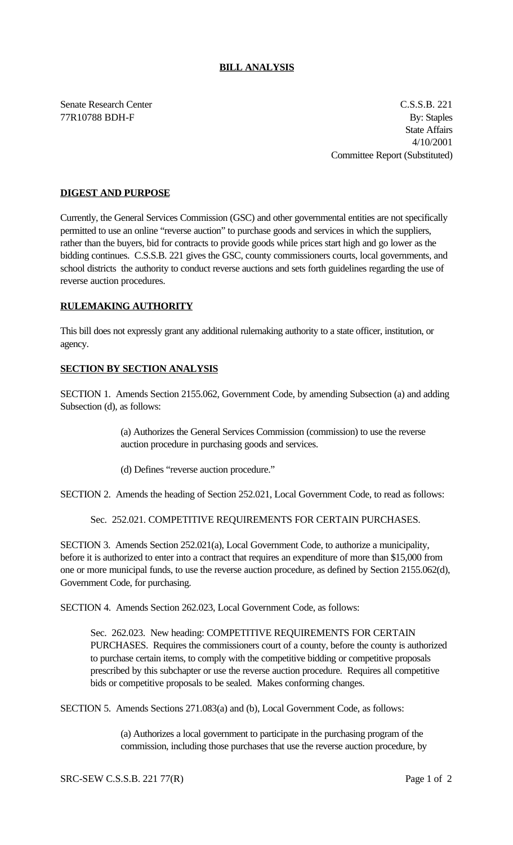# **BILL ANALYSIS**

Senate Research Center C.S.S.B. 221 77R10788 BDH-F By: Staples State Affairs 4/10/2001 Committee Report (Substituted)

# **DIGEST AND PURPOSE**

Currently, the General Services Commission (GSC) and other governmental entities are not specifically permitted to use an online "reverse auction" to purchase goods and services in which the suppliers, rather than the buyers, bid for contracts to provide goods while prices start high and go lower as the bidding continues. C.S.S.B. 221 gives the GSC, county commissioners courts, local governments, and school districts the authority to conduct reverse auctions and sets forth guidelines regarding the use of reverse auction procedures.

### **RULEMAKING AUTHORITY**

This bill does not expressly grant any additional rulemaking authority to a state officer, institution, or agency.

### **SECTION BY SECTION ANALYSIS**

SECTION 1. Amends Section 2155.062, Government Code, by amending Subsection (a) and adding Subsection (d), as follows:

> (a) Authorizes the General Services Commission (commission) to use the reverse auction procedure in purchasing goods and services.

(d) Defines "reverse auction procedure."

SECTION 2. Amends the heading of Section 252.021, Local Government Code, to read as follows:

Sec. 252.021. COMPETITIVE REQUIREMENTS FOR CERTAIN PURCHASES.

SECTION 3. Amends Section 252.021(a), Local Government Code, to authorize a municipality, before it is authorized to enter into a contract that requires an expenditure of more than \$15,000 from one or more municipal funds, to use the reverse auction procedure, as defined by Section 2155.062(d), Government Code, for purchasing.

SECTION 4. Amends Section 262.023, Local Government Code, as follows:

Sec. 262.023. New heading: COMPETITIVE REQUIREMENTS FOR CERTAIN PURCHASES. Requires the commissioners court of a county, before the county is authorized to purchase certain items, to comply with the competitive bidding or competitive proposals prescribed by this subchapter or use the reverse auction procedure. Requires all competitive bids or competitive proposals to be sealed. Makes conforming changes.

SECTION 5. Amends Sections 271.083(a) and (b), Local Government Code, as follows:

(a) Authorizes a local government to participate in the purchasing program of the commission, including those purchases that use the reverse auction procedure, by